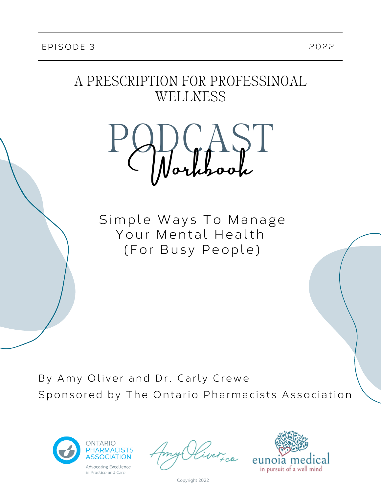## A PRESCRIPTION FOR PROFESSINOAL WELLNESS



Simple Ways To Manage Your Mental Health (For Busy People)

By Amy Oliver and Dr. Carly Crewe Sponsored by The Ontario Pharmacists Association



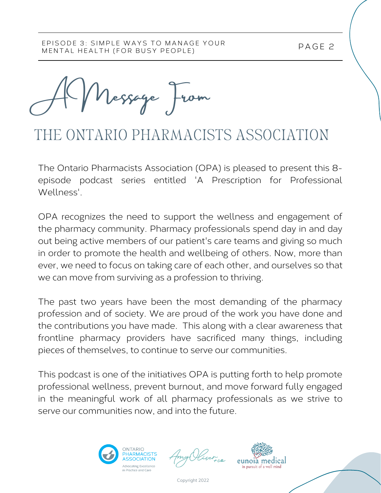A Message From

# THE ONTARIO PHARMACISTS ASSOCIATION

The Ontario Pharmacists Association (OPA) is pleased to present this 8 episode podcast series entitled 'A Prescription for Professional Wellness'.

OPA recognizes the need to support the wellness and engagement of the pharmacy community. Pharmacy professionals spend day in and day out being active members of our patient's care teams and giving so much in order to promote the health and wellbeing of others. Now, more than ever, we need to focus on taking care of each other, and ourselves so that we can move from surviving as a profession to thriving.

The past two years have been the most demanding of the pharmacy profession and of society. We are proud of the work you have done and the contributions you have made. This along with a clear awareness that frontline pharmacy providers have sacrificed many things, including pieces of themselves, to continue to serve our communities.

This podcast is one of the initiatives OPA is putting forth to help promote professional wellness, prevent burnout, and move forward fully engaged in the meaningful work of all pharmacy professionals as we strive to serve our communities now, and into the future.





P AGE 2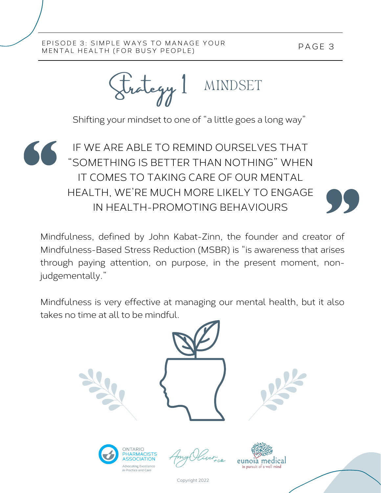P AGE 3

### EPISODE 3: SIMPLE WAYS TO MANAGE YOUR MENTAL HEALTH (FOR BUSY PEOPLE)

MINDSET Strategy 1

Shifting your mindset to one of "a little goes a long way"

IF WE ARE ABLE TO REMIND OURSELVES THAT "SOMETHING IS BETTER THAN NOTHING" WHEN IT COMES TO TAKING CARE OF OUR MENTAL HEALTH, WE'RE MUCH MORE LIKELY TO ENGAGE IN HEALTH-PROMOTING BEHAVIOURS

Mindfulness, defined by John Kabat-Zinn, the founder and creator of Mindfulness-Based Stress Reduction (MSBR) is "is awareness that arises through paying attention, on purpose, in the present moment, nonjudgementally."

Mindfulness is very effective at managing our mental health, but it also takes no time at all to be mindful.







Copyright 2022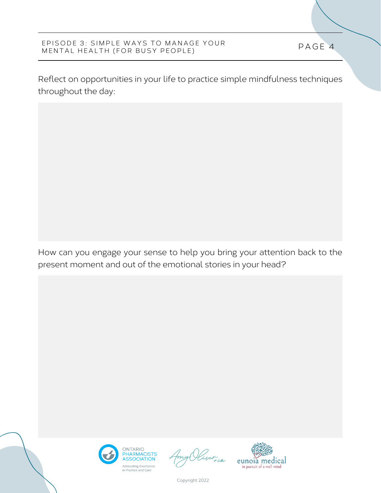Reflect on opportunities in your life to practice simple mindfulness techniques throughout the day:

How can you engage your sense to help you bring your attention back to the present moment and out of the emotional stories in your head?





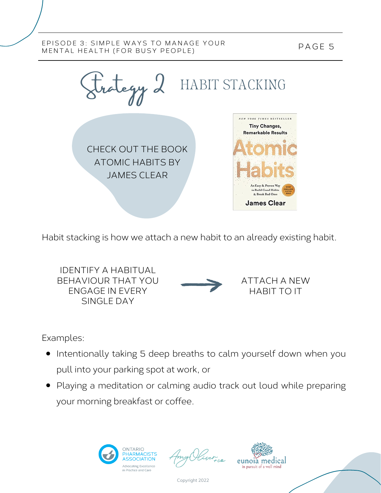P AGE 5



Habit stacking is how we attach a new habit to an already existing habit.

IDENTIFY A HABITUAL BEHAVIOUR THAT YOU ENGAGE IN EVERY SINGLE DAY

ATTACH A NEW HABIT TO IT

Examples:

- Intentionally taking 5 deep breaths to calm yourself down when you pull into your parking spot at work, or
- Playing a meditation or calming audio track out loud while preparing your morning breakfast or coffee.



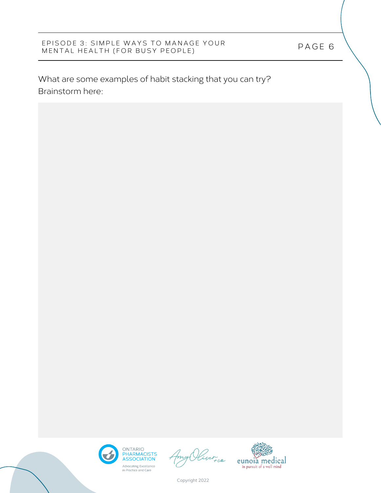What are some examples of habit stacking that you can try? Brainstorm here:





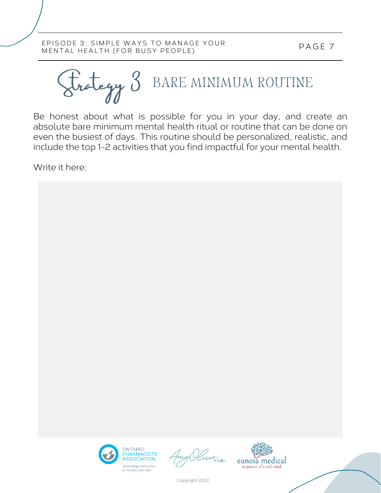BARE MINIMUM ROUTINE Strategy 3

Be honest about what is possible for you in your day, and create an absolute bare minimum mental health ritual or routine that can be done on even the busiest of days. This routine should be personalized, realistic, and include the top 1-2 activities that you find impactful for your mental health.

Write it here:



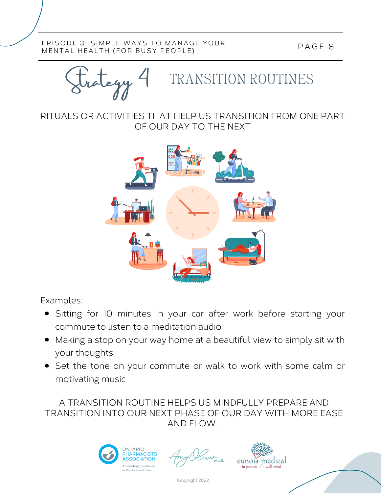Strategy 4

# TRANSITION ROUTINES

RITUALS OR ACTIVITIES THAT HELP US TRANSITION FROM ONE PART OF OUR DAY TO THE NEXT



Examples:

- Sitting for 10 minutes in your car after work before starting your commute to listen to a meditation audio
- Making a stop on your way home at a beautiful view to simply sit with your thoughts
- Set the tone on your commute or walk to work with some calm or motivating music

A TRANSITION ROUTINE HELPS US MINDFULLY PREPARE AND TRANSITION INTO OUR NEXT PHASE OF OUR DAY WITH MORE EASE AND FLOW.



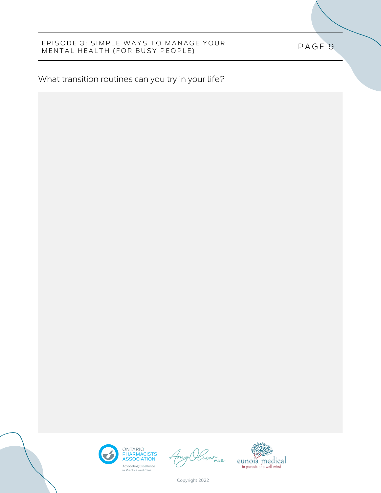P AGE 9

## What transition routines can you try in your life?





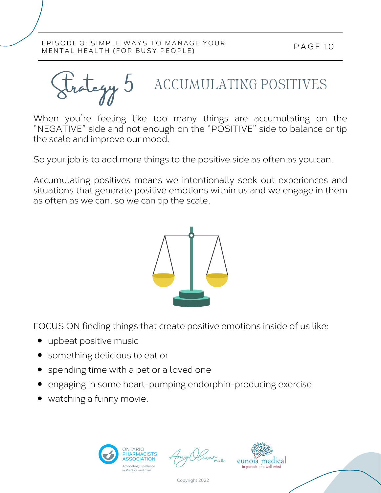ACCUMULATING POSITIVES Strategy 5

When you're feeling like too many things are accumulating on the "NEGATIVE" side and not enough on the "POSITIVE" side to balance or tip the scale and improve our mood.

So your job is to add more things to the positive side as often as you can.

Accumulating positives means we intentionally seek out experiences and situations that generate positive emotions within us and we engage in them as often as we can, so we can tip the scale.



FOCUS ON finding things that create positive emotions inside of us like:

- upbeat positive music
- something delicious to eat or
- spending time with a pet or a loved one
- engaging in some heart-pumping endorphin-producing exercise
- watching a funny movie.



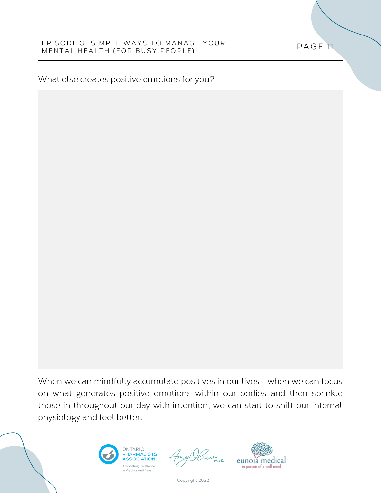What else creates positive emotions for you?

When we can mindfully accumulate positives in our lives - when we can focus on what generates positive emotions within our bodies and then sprinkle those in throughout our day with intention, we can start to shift our internal physiology and feel better.





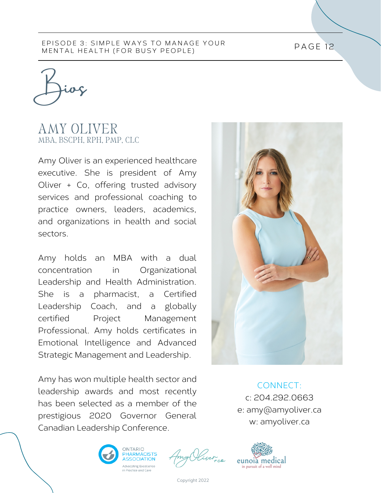Bios

## AMY OLIVER MBA, BSCPH, RPH, PMP, CLC

Amy Oliver is an experienced healthcare executive. She is president of Amy Oliver + Co, offering trusted advisory services and professional coaching to practice owners, leaders, academics, and organizations in health and social sectors.

Amy holds an MBA with a dual concentration in Organizational Leadership and Health Administration. She is a pharmacist, a Certified Leadership Coach, and a globally certified Project Management Professional. Amy holds certificates in Emotional Intelligence and Advanced Strategic Management and Leadership.

Amy has won multiple health sector and leadership awards and most recently has been selected as a member of the prestigious 2020 Governor General Canadian Leadership Conference.



CONNECT: c: 204.292.0663 e: amy@amyoliver.ca w: amyoliver.ca